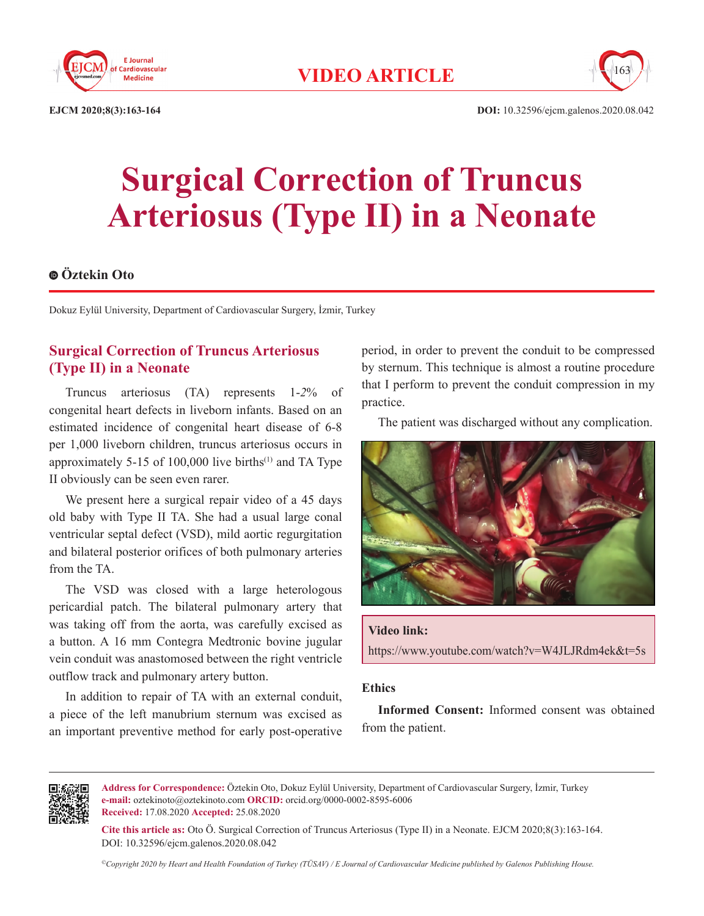



**EJCM 2020;8(3):163-164 DOI:** 10.32596/ejcm.galenos.2020.08.042

# **Surgical Correction of Truncus Arteriosus (Type II) in a Neonate**

## **Öztekin Oto**

Dokuz Eylül University, Department of Cardiovascular Surgery, İzmir, Turkey

## **Surgical Correction of Truncus Arteriosus (Type II) in a Neonate**

Truncus arteriosus (TA) represents 1-*2*% of congenital heart defects in liveborn infants. Based on an estimated incidence of congenital heart disease of 6-8 per 1,000 liveborn children, truncus arteriosus occurs in approximately 5-15 of 100,000 live births<sup> $(1)$ </sup> and TA Type II obviously can be seen even rarer.

We present here a surgical repair video of a 45 days old baby with Type II TA. She had a usual large conal ventricular septal defect (VSD), mild aortic regurgitation and bilateral posterior orifices of both pulmonary arteries from the TA

The VSD was closed with a large heterologous pericardial patch. The bilateral pulmonary artery that was taking off from the aorta, was carefully excised as a button. A 16 mm Contegra Medtronic bovine jugular vein conduit was anastomosed between the right ventricle outflow track and pulmonary artery button.

In addition to repair of TA with an external conduit, a piece of the left manubrium sternum was excised as an important preventive method for early post-operative

period, in order to prevent the conduit to be compressed by sternum. This technique is almost a routine procedure that I perform to prevent the conduit compression in my practice.

The patient was discharged without any complication.



### **Video link:**

https://www.youtube.com/watch?v=W4JLJRdm4ek&t=5s

#### **Ethics**

**Informed Consent:** Informed consent was obtained from the patient.



**Address for Correspondence:** Öztekin Oto, Dokuz Eylül University, Department of Cardiovascular Surgery, İzmir, Turkey **e-mail:** oztekinoto@oztekinoto.com **ORCID:** orcid.org/0000-0002-8595-6006 **Received:** 17.08.2020 **Accepted:** 25.08.2020

**Cite this article as:** Oto Ö. Surgical Correction of Truncus Arteriosus (Type II) in a Neonate. EJCM 2020;8(3):163-164. DOI: 10.32596/ejcm.galenos.2020.08.042

*©Copyright 2020 by Heart and Health Foundation of Turkey (TÜSAV) / E Journal of Cardiovascular Medicine published by Galenos Publishing House.*